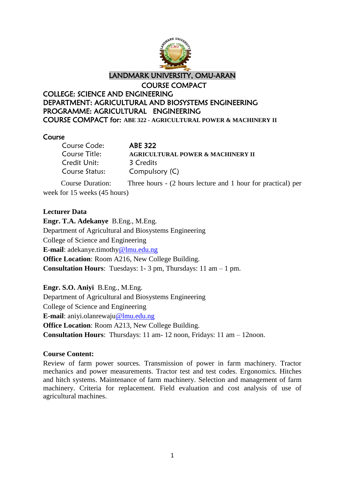

## Course

| Course Code:                 | <b>ABE 322</b>                                               |
|------------------------------|--------------------------------------------------------------|
| Course Title:                | <b>AGRICULTURAL POWER &amp; MACHINERY II</b>                 |
| Credit Unit:                 | 3 Credits                                                    |
| Course Status:               | Compulsory (C)                                               |
| Course Duration:             | Three hours - (2 hours lecture and 1 hour for practical) per |
| week for 15 weeks (45 hours) |                                                              |

# **Lecturer Data**

**Engr. T.A. Adekanye** B.Eng., M.Eng. Department of Agricultural and Biosystems Engineering College of Science and Engineering **E-mail**: adekanye.timothy@lmu.edu.ng **Office Location**: Room A216, New College Building. **Consultation Hours**: Tuesdays: 1- 3 pm, Thursdays: 11 am – 1 pm.

**Engr. S.O. Aniyi** B.Eng., M.Eng. Department of Agricultural and Biosystems Engineering College of Science and Engineering **E-mail**: aniyi.olanrewaju@lmu.edu.ng **Office Location**: Room A213, New College Building. **Consultation Hours**: Thursdays: 11 am- 12 noon, Fridays: 11 am – 12noon.

# **Course Content:**

Review of farm power sources. Transmission of power in farm machinery. Tractor mechanics and power measurements. Tractor test and test codes. Ergonomics. Hitches and hitch systems. Maintenance of farm machinery. Selection and management of farm machinery. Criteria for replacement. Field evaluation and cost analysis of use of agricultural machines.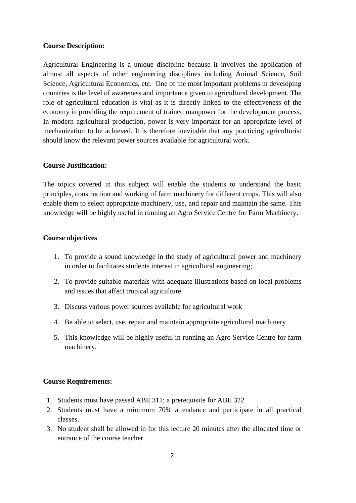#### **Course Description:**

Agricultural Engineering is a unique discipline because it involves the application of almost all aspects of other engineering disciplines including Animal Science, Soil Science, Agricultural Economics, etc. One of the most important problems in developing countries is the level of awareness and importance given to agricultural development. The role of agricultural education is vital as it is directly linked to the effectiveness of the economy in providing the requirement of trained manpower for the development process. In modern agricultural production, power is very important for an appropriate level of mechanization to be achieved. It is therefore inevitable that any practicing agriculturist should know the relevant power sources available for agricultural work.

#### **Course Justification:**

The topics covered in this subject will enable the students to understand the basic principles, construction and working of farm machinery for different crops. This will also enable them to select appropriate machinery, use, and repair and maintain the same. This knowledge will be highly useful in running an Agro Service Centre for Farm Machinery.

#### **Course objectives**

- 1. To provide a sound knowledge in the study of agricultural power and machinery in order to facilitates students interest in agricultural engineering;
- 2. To provide suitable materials with adequate illustrations based on local problems and issues that affect tropical agriculture.
- 3. Discuss various power sources available for agricultural work
- 4. Be able to select, use, repair and maintain appropriate agricultural machinery
- 5. This knowledge will be highly useful in running an Agro Service Centre for farm machinery.

#### **Course Requirements:**

- 1. Students must have passed ABE 311; a prerequisite for ABE 322
- 2. Students must have a minimum 70% attendance and participate in all practical classes.
- 3. No student shall be allowed in for this lecture 20 minutes after the allocated time or entrance of the course teacher.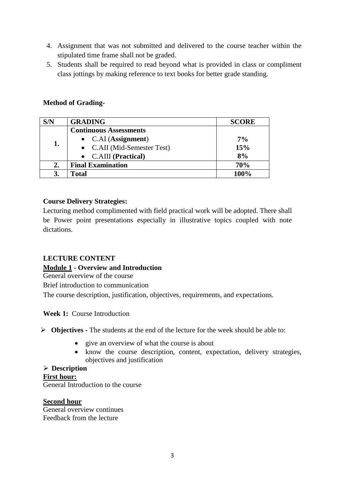- 4. Assignment that was not submitted and delivered to the course teacher within the stipulated time frame shall not be graded.
- 5. Students shall be required to read beyond what is provided in class or compliment class jottings by making reference to text books for better grade standing.

# **Method of Grading-**

| S/N | <b>GRADING</b>                | <b>SCORE</b> |
|-----|-------------------------------|--------------|
| 1.  | <b>Continuous Assessments</b> |              |
|     | • $CAI (Assignment)$          | 7%           |
|     | • C.AII (Mid-Semester Test)   | 15%          |
|     | • C.AIII (Practical)          | 8%           |
| 2.  | <b>Final Examination</b>      | 70%          |
|     | Total                         | 100%         |

# **Course Delivery Strategies:**

Lecturing method complimented with field practical work will be adopted. There shall be Power point presentations especially in illustrative topics coupled with note dictations.

# **LECTURE CONTENT**

# **Module 1 - Overview and Introduction**

General overview of the course

Brief introduction to communication

The course description, justification, objectives, requirements, and expectations.

# **Week 1:** Course Introduction

**Objectives -** The students at the end of the lecture for the week should be able to:

- give an overview of what the course is about
- know the course description, content, expectation, delivery strategies, objectives and justification

# **Description**

# **First hour:**

General Introduction to the course

## **Second hour**

General overview continues Feedback from the lecture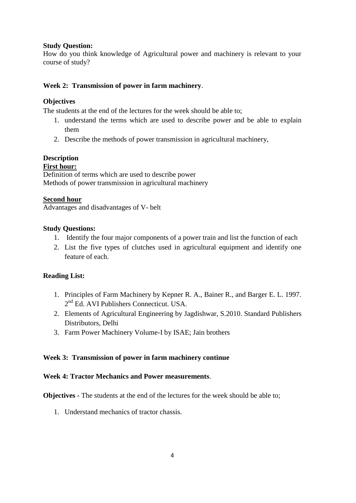## **Study Question:**

How do you think knowledge of Agricultural power and machinery is relevant to your course of study?

# **Week 2: Transmission of power in farm machinery**.

## **Objectives**

The students at the end of the lectures for the week should be able to;

- 1. understand the terms which are used to describe power and be able to explain them
- 2. Describe the methods of power transmission in agricultural machinery,

# **Description**

## **First hour:**

Definition of terms which are used to describe power Methods of power transmission in agricultural machinery

## **Second hour**

Advantages and disadvantages of V- belt

## **Study Questions:**

- 1. Identify the four major components of a power train and list the function of each
- 2. List the five types of clutches used in agricultural equipment and identify one feature of each.

## **Reading List:**

- 1. Principles of Farm Machinery by Kepner R. A., Bainer R., and Barger E. L. 1997. 2<sup>nd</sup> Ed. AVI Publishers Connecticut. USA.
- 2. Elements of Agricultural Engineering by Jagdishwar, S.2010. Standard Publishers Distributors, Delhi
- 3. Farm Power Machinery Volume-I by ISAE; Jain brothers

## **Week 3: Transmission of power in farm machinery continue**

## **Week 4: Tractor Mechanics and Power measurements**.

**Objectives -** The students at the end of the lectures for the week should be able to;

1. Understand mechanics of tractor chassis.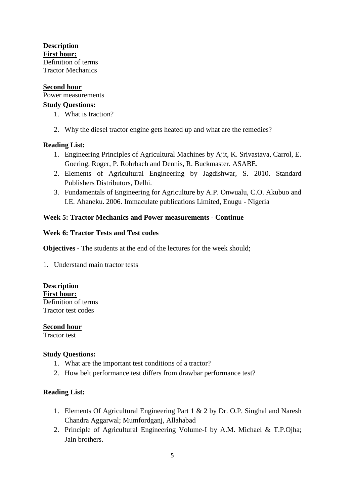**Description First hour:** Definition of terms Tractor Mechanics

### **Second hour**

Power measurements

### **Study Questions:**

- 1. What is traction?
- 2. Why the diesel tractor engine gets heated up and what are the remedies?

## **Reading List:**

- 1. Engineering Principles of Agricultural Machines by Ajit, K. Srivastava, Carrol, E. Goering, Roger, P. Rohrbach and Dennis, R. Buckmaster. ASABE.
- 2. Elements of Agricultural Engineering by Jagdishwar, S. 2010. Standard Publishers Distributors, Delhi.
- 3. Fundamentals of Engineering for Agriculture by A.P. Onwualu, C.O. Akubuo and I.E. Ahaneku. 2006. Immaculate publications Limited, Enugu - Nigeria

## **Week 5: Tractor Mechanics and Power measurements - Continue**

## **Week 6: Tractor Tests and Test codes**

**Objectives -** The students at the end of the lectures for the week should;

1. Understand main tractor tests

**Description First hour:** Definition of terms Tractor test codes

## **Second hour**

Tractor test

#### **Study Questions:**

- 1. What are the important test conditions of a tractor?
- 2. How belt performance test differs from drawbar performance test?

## **Reading List:**

- 1. Elements Of Agricultural Engineering Part 1 & 2 by Dr. O.P. Singhal and Naresh Chandra Aggarwal; Mumfordganj, Allahabad
- 2. Principle of Agricultural Engineering Volume-I by A.M. Michael & T.P.Ojha; Jain brothers.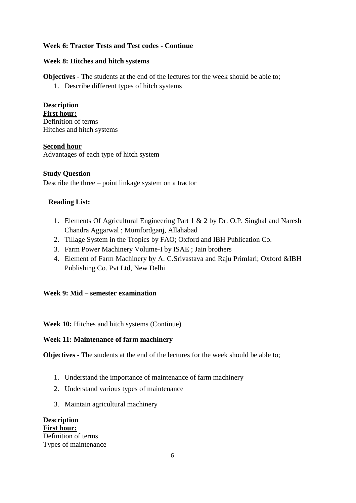# **Week 6: Tractor Tests and Test codes - Continue**

## **Week 8: Hitches and hitch systems**

**Objectives -** The students at the end of the lectures for the week should be able to;

1. Describe different types of hitch systems

**Description First hour:** Definition of terms Hitches and hitch systems

## **Second hour**

Advantages of each type of hitch system

## **Study Question**

Describe the three – point linkage system on a tractor

# **Reading List:**

- 1. Elements Of Agricultural Engineering Part 1 & 2 by Dr. O.P. Singhal and Naresh Chandra Aggarwal ; Mumfordganj, Allahabad
- 2. Tillage System in the Tropics by FAO; Oxford and IBH Publication Co.
- 3. Farm Power Machinery Volume-I by ISAE ; Jain brothers
- 4. Element of Farm Machinery by A. C.Srivastava and Raju Primlari; Oxford &IBH Publishing Co. Pvt Ltd, New Delhi

# **Week 9: Mid – semester examination**

**Week 10:** Hitches and hitch systems (Continue)

# **Week 11: Maintenance of farm machinery**

**Objectives -** The students at the end of the lectures for the week should be able to;

- 1. Understand the importance of maintenance of farm machinery
- 2. Understand various types of maintenance
- 3. Maintain agricultural machinery

**Description First hour:** Definition of terms Types of maintenance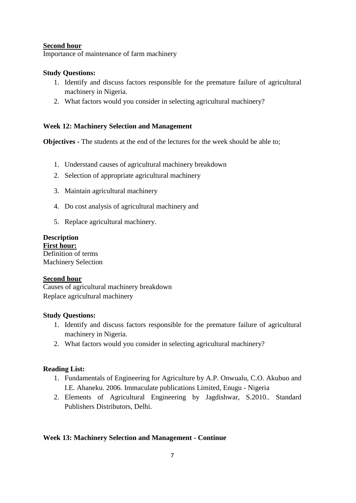## **Second hour**

Importance of maintenance of farm machinery

## **Study Questions:**

- 1. Identify and discuss factors responsible for the premature failure of agricultural machinery in Nigeria.
- 2. What factors would you consider in selecting agricultural machinery?

## **Week 12: Machinery Selection and Management**

**Objectives -** The students at the end of the lectures for the week should be able to;

- 1. Understand causes of agricultural machinery breakdown
- 2. Selection of appropriate agricultural machinery
- 3. Maintain agricultural machinery
- 4. Do cost analysis of agricultural machinery and
- 5. Replace agricultural machinery.

# **Description**

**First hour:** Definition of terms Machinery Selection

## **Second hour**

Causes of agricultural machinery breakdown Replace agricultural machinery

## **Study Questions:**

- 1. Identify and discuss factors responsible for the premature failure of agricultural machinery in Nigeria.
- 2. What factors would you consider in selecting agricultural machinery?

# **Reading List:**

- 1. Fundamentals of Engineering for Agriculture by A.P. Onwualu, C.O. Akubuo and I.E. Ahaneku. 2006. Immaculate publications Limited, Enugu - Nigeria
- 2. Elements of Agricultural Engineering by Jagdishwar, S.2010.. Standard Publishers Distributors, Delhi.

# **Week 13: Machinery Selection and Management - Continue**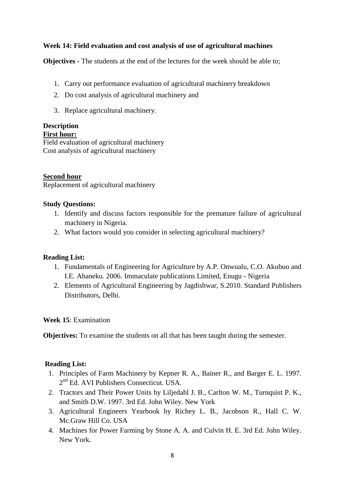## **Week 14: Field evaluation and cost analysis of use of agricultural machines**

**Objectives -** The students at the end of the lectures for the week should be able to;

- 1. Carry out performance evaluation of agricultural machinery breakdown
- 2. Do cost analysis of agricultural machinery and
- 3. Replace agricultural machinery.

## **Description**

## **First hour:**

Field evaluation of agricultural machinery Cost analysis of agricultural machinery

### **Second hour**

Replacement of agricultural machinery

### **Study Questions:**

- 1. Identify and discuss factors responsible for the premature failure of agricultural machinery in Nigeria.
- 2. What factors would you consider in selecting agricultural machinery?

#### **Reading List:**

- 1. Fundamentals of Engineering for Agriculture by A.P. Onwualu, C.O. Akubuo and I.E. Ahaneku. 2006. Immaculate publications Limited, Enugu - Nigeria
- 2. Elements of Agricultural Engineering by Jagdishwar, S.2010. Standard Publishers Distributors, Delhi.

#### **Week 15**: Examination

**Objectives:** To examine the students on all that has been taught during the semester.

#### **Reading List:**

- 1. Principles of Farm Machinery by Kepner R. A., Bainer R., and Barger E. L. 1997. 2<sup>nd</sup> Ed. AVI Publishers Connecticut. USA.
- 2. Tractors and Their Power Units by Liljedahl J. B., Carlton W. M., Turnquist P. K., and Smith D.W. 1997. 3rd Ed. John Wiley. New York
- 3. Agricultural Engineers Yearbook by Richey L. B., Jacobson R., Hall C. W. Mc.Graw Hill Co. USA
- 4. Machines for Power Farming by Stone A. A. and Culvin H. E. 3rd Ed. John Wiley. New York.